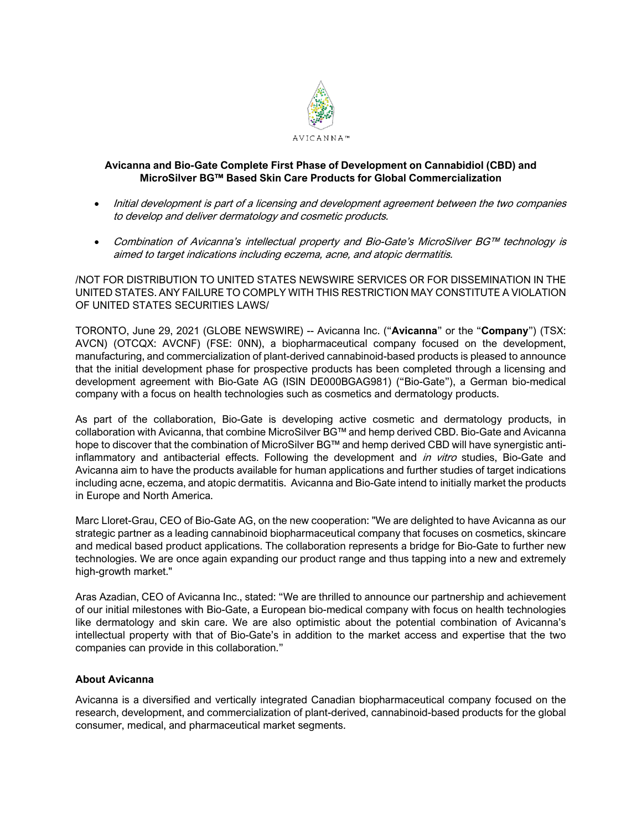

## **Avicanna and Bio-Gate Complete First Phase of Development on Cannabidiol (CBD) and MicroSilver BG™ Based Skin Care Products for Global Commercialization**

- Initial development is part of a licensing and development agreement between the two companies to develop and deliver dermatology and cosmetic products.
- Combination of Avicanna's intellectual property and Bio-Gate's MicroSilver BG™ technology is aimed to target indications including eczema, acne, and atopic dermatitis.

/NOT FOR DISTRIBUTION TO UNITED STATES NEWSWIRE SERVICES OR FOR DISSEMINATION IN THE UNITED STATES. ANY FAILURE TO COMPLY WITH THIS RESTRICTION MAY CONSTITUTE A VIOLATION OF UNITED STATES SECURITIES LAWS/

TORONTO, June 29, 2021 (GLOBE NEWSWIRE) -- Avicanna Inc. ("**Avicanna**" or the "**Company**") (TSX: AVCN) (OTCQX: AVCNF) (FSE: 0NN), a biopharmaceutical company focused on the development, manufacturing, and commercialization of plant-derived cannabinoid-based products is pleased to announce that the initial development phase for prospective products has been completed through a licensing and development agreement with Bio-Gate AG (ISIN DE000BGAG981) ("Bio-Gate"), a German bio-medical company with a focus on health technologies such as cosmetics and dermatology products.

As part of the collaboration, Bio-Gate is developing active cosmetic and dermatology products, in collaboration with Avicanna, that combine MicroSilver BG™ and hemp derived CBD. Bio-Gate and Avicanna hope to discover that the combination of MicroSilver BG™ and hemp derived CBD will have synergistic antiinflammatory and antibacterial effects. Following the development and *in vitro* studies, Bio-Gate and Avicanna aim to have the products available for human applications and further studies of target indications including acne, eczema, and atopic dermatitis. Avicanna and Bio-Gate intend to initially market the products in Europe and North America.

Marc Lloret-Grau, CEO of Bio-Gate AG, on the new cooperation: "We are delighted to have Avicanna as our strategic partner as a leading cannabinoid biopharmaceutical company that focuses on cosmetics, skincare and medical based product applications. The collaboration represents a bridge for Bio-Gate to further new technologies. We are once again expanding our product range and thus tapping into a new and extremely high-growth market."

Aras Azadian, CEO of Avicanna Inc., stated: "We are thrilled to announce our partnership and achievement of our initial milestones with Bio-Gate, a European bio-medical company with focus on health technologies like dermatology and skin care. We are also optimistic about the potential combination of Avicanna's intellectual property with that of Bio-Gate's in addition to the market access and expertise that the two companies can provide in this collaboration."

## **About Avicanna**

Avicanna is a diversified and vertically integrated Canadian biopharmaceutical company focused on the research, development, and commercialization of plant-derived, cannabinoid-based products for the global consumer, medical, and pharmaceutical market segments.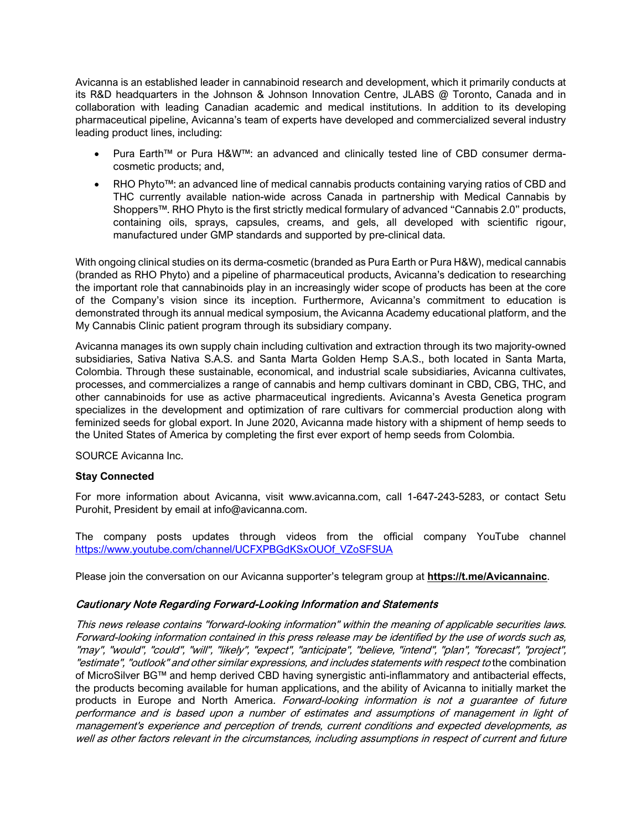Avicanna is an established leader in cannabinoid research and development, which it primarily conducts at its R&D headquarters in the Johnson & Johnson Innovation Centre, JLABS @ Toronto, Canada and in collaboration with leading Canadian academic and medical institutions. In addition to its developing pharmaceutical pipeline, Avicanna's team of experts have developed and commercialized several industry leading product lines, including:

- Pura Earth™ or Pura H&W™: an advanced and clinically tested line of CBD consumer dermacosmetic products; and,
- RHO Phyto™: an advanced line of medical cannabis products containing varying ratios of CBD and THC currently available nation-wide across Canada in partnership with Medical Cannabis by Shoppers™. RHO Phyto is the first strictly medical formulary of advanced "Cannabis 2.0" products, containing oils, sprays, capsules, creams, and gels, all developed with scientific rigour, manufactured under GMP standards and supported by pre-clinical data.

With ongoing clinical studies on its derma-cosmetic (branded as Pura Earth or Pura H&W), medical cannabis (branded as RHO Phyto) and a pipeline of pharmaceutical products, Avicanna's dedication to researching the important role that cannabinoids play in an increasingly wider scope of products has been at the core of the Company's vision since its inception. Furthermore, Avicanna's commitment to education is demonstrated through its annual medical symposium, the Avicanna Academy educational platform, and the My Cannabis Clinic patient program through its subsidiary company.

Avicanna manages its own supply chain including cultivation and extraction through its two majority-owned subsidiaries, Sativa Nativa S.A.S. and Santa Marta Golden Hemp S.A.S., both located in Santa Marta, Colombia. Through these sustainable, economical, and industrial scale subsidiaries, Avicanna cultivates, processes, and commercializes a range of cannabis and hemp cultivars dominant in CBD, CBG, THC, and other cannabinoids for use as active pharmaceutical ingredients. Avicanna's Avesta Genetica program specializes in the development and optimization of rare cultivars for commercial production along with feminized seeds for global export. In June 2020, Avicanna made history with a shipment of hemp seeds to the United States of America by completing the first ever export of hemp seeds from Colombia.

SOURCE Avicanna Inc.

## **Stay Connected**

For more information about Avicanna, visit www.avicanna.com, call 1-647-243-5283, or contact Setu Purohit, President by email at info@avicanna.com.

The company posts updates through videos from the official company YouTube channel [https://www.youtube.com/channel/UCFXPBGdKSxOUOf\\_VZoSFSUA](https://www.youtube.com/channel/UCFXPBGdKSxOUOf_VZoSFSUA)

Please join the conversation on our Avicanna supporter's telegram group at **[https://t.me/Avicannainc](https://www.globenewswire.com/Tracker?data=Yc3ZROMyC7QpAY2_KXLClwZ-9P9ZklUgbhQGXzRApkSAE_FZjKINKG7butehjJU8SXRJn8BFwGBjsymUSubppdWw8SgOGqBabvJSPvSoizQ=)**.

## Cautionary Note Regarding Forward-Looking Information and Statements

This news release contains "forward-looking information" within the meaning of applicable securities laws. Forward-looking information contained in this press release may be identified by the use of words such as, "may", "would", "could", "will", "likely", "expect", "anticipate", "believe, "intend", "plan", "forecast", "project", "estimate", "outlook" and other similar expressions, and includes statements with respect to the combination of MicroSilver BG™ and hemp derived CBD having synergistic anti-inflammatory and antibacterial effects, the products becoming available for human applications, and the ability of Avicanna to initially market the products in Europe and North America. Forward-looking information is not a guarantee of future performance and is based upon a number of estimates and assumptions of management in light of management's experience and perception of trends, current conditions and expected developments, as well as other factors relevant in the circumstances, including assumptions in respect of current and future